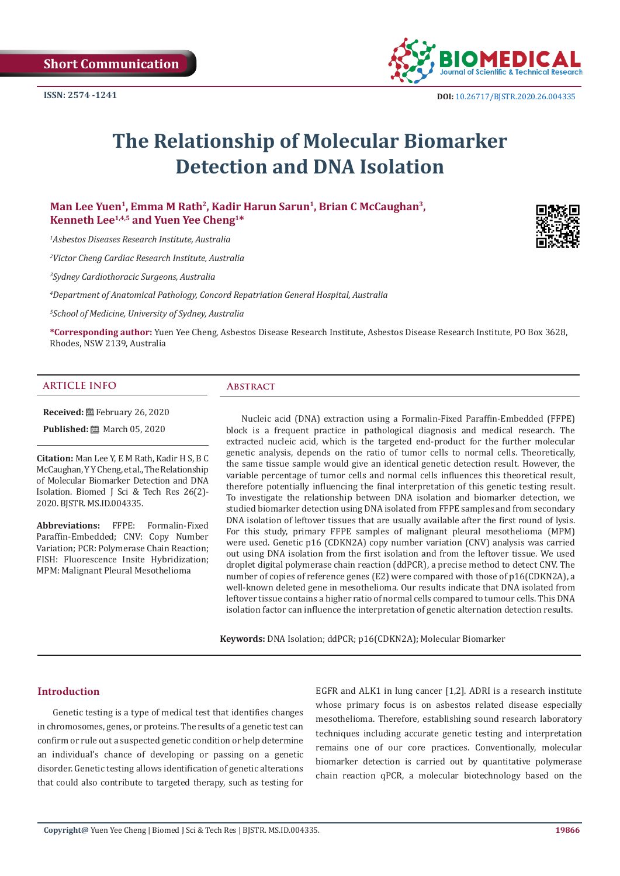

# **The Relationship of Molecular Biomarker Detection and DNA Isolation**

**Man Lee Yuen1, Emma M Rath2, Kadir Harun Sarun1, Brian C McCaughan3, Kenneth Lee1,4,5 and Yuen Yee Cheng1\***

*1 Asbestos Diseases Research Institute, Australia*

*2 Victor Cheng Cardiac Research Institute, Australia*

*3 Sydney Cardiothoracic Surgeons, Australia*

*4 Department of Anatomical Pathology, Concord Repatriation General Hospital, Australia*

*5 School of Medicine, University of Sydney, Australia*

**\*Corresponding author:** Yuen Yee Cheng, Asbestos Disease Research Institute, Asbestos Disease Research Institute, PO Box 3628, Rhodes, NSW 2139, Australia

## **ARTICLE INFO Abstract**

**Received:** February 26, 2020

**Published:** 圖 March 05, 2020

**Citation:** Man Lee Y, E M Rath, Kadir H S, B C McCaughan, Y Y Cheng, et al., The Relationship of Molecular Biomarker Detection and DNA Isolation. Biomed J Sci & Tech Res 26(2)- 2020. BJSTR. MS.ID.004335.

**Abbreviations:** FFPE: Formalin-Fixed Paraffin-Embedded; CNV: Copy Number Variation; PCR: Polymerase Chain Reaction; FISH: Fluorescence Insite Hybridization; MPM: Malignant Pleural Mesothelioma

Nucleic acid (DNA) extraction using a Formalin-Fixed Paraffin-Embedded (FFPE) block is a frequent practice in pathological diagnosis and medical research. The extracted nucleic acid, which is the targeted end-product for the further molecular genetic analysis, depends on the ratio of tumor cells to normal cells. Theoretically, the same tissue sample would give an identical genetic detection result. However, the variable percentage of tumor cells and normal cells influences this theoretical result, therefore potentially influencing the final interpretation of this genetic testing result. To investigate the relationship between DNA isolation and biomarker detection, we studied biomarker detection using DNA isolated from FFPE samples and from secondary DNA isolation of leftover tissues that are usually available after the first round of lysis. For this study, primary FFPE samples of malignant pleural mesothelioma (MPM) were used. Genetic p16 (CDKN2A) copy number variation (CNV) analysis was carried out using DNA isolation from the first isolation and from the leftover tissue. We used droplet digital polymerase chain reaction (ddPCR), a precise method to detect CNV. The number of copies of reference genes (E2) were compared with those of p16(CDKN2A), a well-known deleted gene in mesothelioma. Our results indicate that DNA isolated from leftover tissue contains a higher ratio of normal cells compared to tumour cells. This DNA isolation factor can influence the interpretation of genetic alternation detection results.

**Keywords:** DNA Isolation; ddPCR; p16(CDKN2A); Molecular Biomarker

## **Introduction**

Genetic testing is a type of medical test that identifies changes in chromosomes, genes, or proteins. The results of a genetic test can confirm or rule out a suspected genetic condition or help determine an individual's chance of developing or passing on a genetic disorder. Genetic testing allows identification of genetic alterations that could also contribute to targeted therapy, such as testing for EGFR and ALK1 in lung cancer [1,2]. ADRI is a research institute whose primary focus is on asbestos related disease especially mesothelioma. Therefore, establishing sound research laboratory techniques including accurate genetic testing and interpretation remains one of our core practices. Conventionally, molecular biomarker detection is carried out by quantitative polymerase chain reaction qPCR, a molecular biotechnology based on the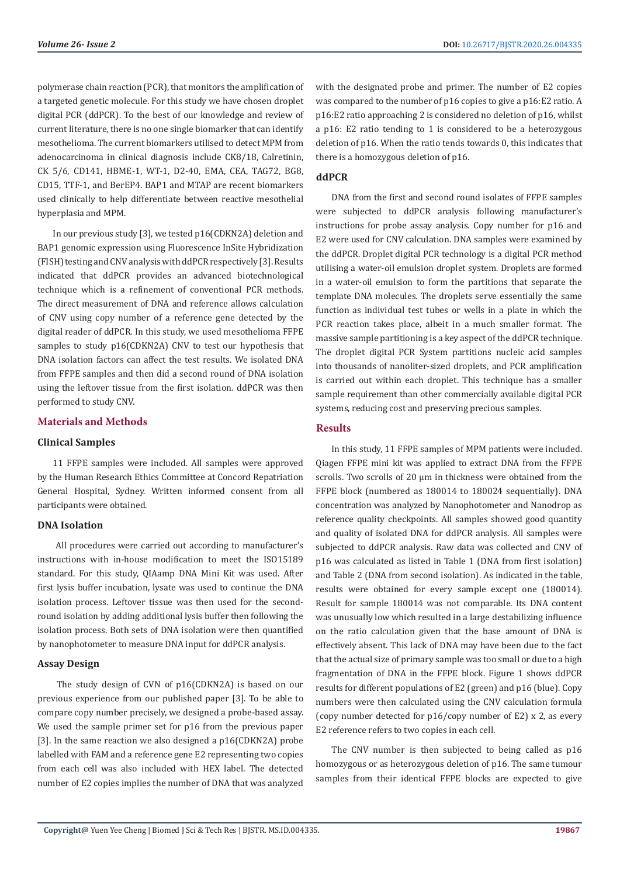polymerase chain reaction (PCR), that monitors the amplification of a targeted genetic molecule. For this study we have chosen droplet digital PCR (ddPCR). To the best of our knowledge and review of current literature, there is no one single biomarker that can identify mesothelioma. The current biomarkers utilised to detect MPM from adenocarcinoma in clinical diagnosis include CK8/18, Calretinin, CK 5/6, CD141, HBME-1, WT-1, D2-40, EMA, CEA, TAG72, BG8, CD15, TTF-1, and BerEP4. BAP1 and MTAP are recent biomarkers used clinically to help differentiate between reactive mesothelial hyperplasia and MPM.

In our previous study [3], we tested p16(CDKN2A) deletion and BAP1 genomic expression using Fluorescence InSite Hybridization (FISH) testing and CNV analysis with ddPCR respectively [3]. Results indicated that ddPCR provides an advanced biotechnological technique which is a refinement of conventional PCR methods. The direct measurement of DNA and reference allows calculation of CNV using copy number of a reference gene detected by the digital reader of ddPCR. In this study, we used mesothelioma FFPE samples to study p16(CDKN2A) CNV to test our hypothesis that DNA isolation factors can affect the test results. We isolated DNA from FFPE samples and then did a second round of DNA isolation using the leftover tissue from the first isolation. ddPCR was then performed to study CNV.

# **Materials and Methods**

### **Clinical Samples**

11 FFPE samples were included. All samples were approved by the Human Research Ethics Committee at Concord Repatriation General Hospital, Sydney. Written informed consent from all participants were obtained.

### **DNA Isolation**

 All procedures were carried out according to manufacturer's instructions with in-house modification to meet the ISO15189 standard. For this study, QIAamp DNA Mini Kit was used. After first lysis buffer incubation, lysate was used to continue the DNA isolation process. Leftover tissue was then used for the secondround isolation by adding additional lysis buffer then following the isolation process. Both sets of DNA isolation were then quantified by nanophotometer to measure DNA input for ddPCR analysis.

### **Assay Design**

 The study design of CVN of p16(CDKN2A) is based on our previous experience from our published paper [3]. To be able to compare copy number precisely, we designed a probe-based assay. We used the sample primer set for p16 from the previous paper [3]. In the same reaction we also designed a p16(CDKN2A) probe labelled with FAM and a reference gene E2 representing two copies from each cell was also included with HEX label. The detected number of E2 copies implies the number of DNA that was analyzed

with the designated probe and primer. The number of E2 copies was compared to the number of p16 copies to give a p16:E2 ratio. A p16:E2 ratio approaching 2 is considered no deletion of p16, whilst a p16: E2 ratio tending to 1 is considered to be a heterozygous deletion of p16. When the ratio tends towards 0, this indicates that there is a homozygous deletion of p16.

# **ddPCR**

DNA from the first and second round isolates of FFPE samples were subjected to ddPCR analysis following manufacturer's instructions for probe assay analysis. Copy number for p16 and E2 were used for CNV calculation. DNA samples were examined by the ddPCR. Droplet digital PCR technology is a digital PCR method utilising a water-oil emulsion droplet system. Droplets are formed in a water-oil emulsion to form the partitions that separate the template DNA molecules. The droplets serve essentially the same function as individual test tubes or wells in a plate in which the PCR reaction takes place, albeit in a much smaller format. The massive sample partitioning is a key aspect of the ddPCR technique. The droplet digital PCR System partitions nucleic acid samples into thousands of nanoliter-sized droplets, and PCR amplification is carried out within each droplet. This technique has a smaller sample requirement than other commercially available digital PCR systems, reducing cost and preserving precious samples.

# **Results**

In this study, 11 FFPE samples of MPM patients were included. Qiagen FFPE mini kit was applied to extract DNA from the FFPE scrolls. Two scrolls of 20 μm in thickness were obtained from the FFPE block (numbered as 180014 to 180024 sequentially). DNA concentration was analyzed by Nanophotometer and Nanodrop as reference quality checkpoints. All samples showed good quantity and quality of isolated DNA for ddPCR analysis. All samples were subjected to ddPCR analysis. Raw data was collected and CNV of p16 was calculated as listed in Table 1 (DNA from first isolation) and Table 2 (DNA from second isolation). As indicated in the table, results were obtained for every sample except one (180014). Result for sample 180014 was not comparable. Its DNA content was unusually low which resulted in a large destabilizing influence on the ratio calculation given that the base amount of DNA is effectively absent. This lack of DNA may have been due to the fact that the actual size of primary sample was too small or due to a high fragmentation of DNA in the FFPE block. Figure 1 shows ddPCR results for different populations of E2 (green) and p16 (blue). Copy numbers were then calculated using the CNV calculation formula (copy number detected for p16/copy number of E2) x 2, as every E2 reference refers to two copies in each cell.

The CNV number is then subjected to being called as p16 homozygous or as heterozygous deletion of p16. The same tumour samples from their identical FFPE blocks are expected to give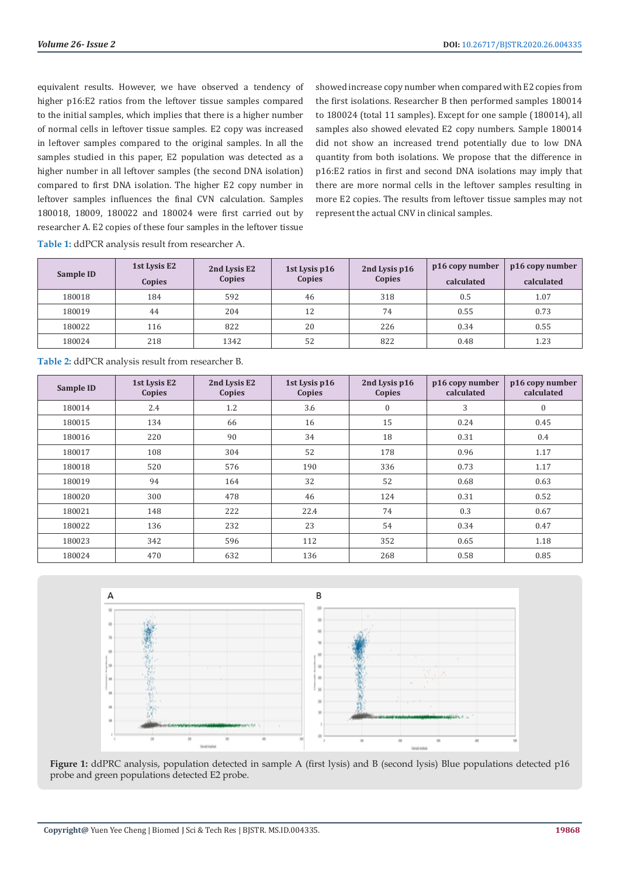equivalent results. However, we have observed a tendency of higher p16:E2 ratios from the leftover tissue samples compared to the initial samples, which implies that there is a higher number of normal cells in leftover tissue samples. E2 copy was increased in leftover samples compared to the original samples. In all the samples studied in this paper, E2 population was detected as a higher number in all leftover samples (the second DNA isolation) compared to first DNA isolation. The higher E2 copy number in leftover samples influences the final CVN calculation. Samples 180018, 18009, 180022 and 180024 were first carried out by researcher A. E2 copies of these four samples in the leftover tissue showed increase copy number when compared with E2 copies from the first isolations. Researcher B then performed samples 180014 to 180024 (total 11 samples). Except for one sample (180014), all samples also showed elevated E2 copy numbers. Sample 180014 did not show an increased trend potentially due to low DNA quantity from both isolations. We propose that the difference in p16:E2 ratios in first and second DNA isolations may imply that there are more normal cells in the leftover samples resulting in more E2 copies. The results from leftover tissue samples may not represent the actual CNV in clinical samples.

| <b>Table 1:</b> ddPCR analysis result from researcher A. |
|----------------------------------------------------------|
|----------------------------------------------------------|

| Sample ID | 1st Lysis E2 | 2nd Lysis E2<br>Copies | 1st Lysis p16<br>Copies | 2nd Lysis p16<br>Copies | p16 copy number | p16 copy number |
|-----------|--------------|------------------------|-------------------------|-------------------------|-----------------|-----------------|
|           | Copies       |                        |                         |                         | calculated      | calculated      |
| 180018    | 184          | 592                    | 46                      | 318                     | 0.5             | 1.07            |
| 180019    | 44           | 204                    | 12                      | 74                      | 0.55            | 0.73            |
| 180022    | 116          | 822                    | 20                      | 226                     | 0.34            | 0.55            |
| 180024    | 218          | 1342                   | 52                      | 822                     | 0.48            | 1.23            |

**Table 2:** ddPCR analysis result from researcher B.

| Sample ID | 1st Lysis E2<br>Copies | 2nd Lysis E2<br>Copies | 1st Lysis p16<br>Copies | 2nd Lysis p16<br>Copies | p16 copy number<br>calculated | p16 copy number<br>calculated |
|-----------|------------------------|------------------------|-------------------------|-------------------------|-------------------------------|-------------------------------|
| 180014    | 2.4                    | 1.2                    | 3.6                     | $\mathbf{0}$            | 3                             | $\mathbf{0}$                  |
| 180015    | 134                    | 66                     | 16                      | 15                      | 0.24                          | 0.45                          |
| 180016    | 220                    | 90                     | 34                      | 18                      | 0.31                          | 0.4                           |
| 180017    | 108                    | 304                    | 52                      | 178                     | 0.96                          | 1.17                          |
| 180018    | 520                    | 576                    | 190                     | 336                     | 0.73                          | 1.17                          |
| 180019    | 94                     | 164                    | 32                      | 52                      | 0.68                          | 0.63                          |
| 180020    | 300                    | 478                    | 46                      | 124                     | 0.31                          | 0.52                          |
| 180021    | 148                    | 222                    | 22.4                    | 74                      | 0.3                           | 0.67                          |
| 180022    | 136                    | 232                    | 23                      | 54                      | 0.34                          | 0.47                          |
| 180023    | 342                    | 596                    | 112                     | 352                     | 0.65                          | 1.18                          |
| 180024    | 470                    | 632                    | 136                     | 268                     | 0.58                          | 0.85                          |



**Figure 1:** ddPRC analysis, population detected in sample A (first lysis) and B (second lysis) Blue populations detected p16 probe and green populations detected E2 probe.